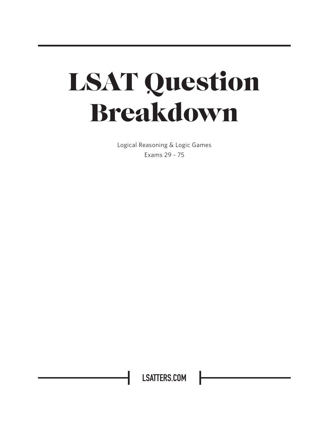# LSAT Question Breakdown

Logical Reasoning & Logic Games Exams 29 - 75

**LSATTERS.COM**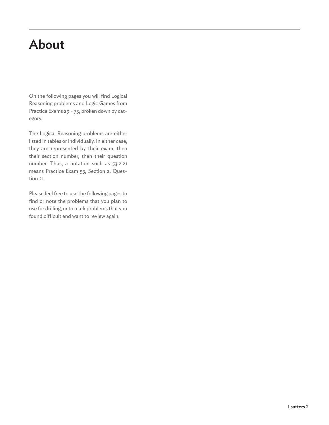### About

On the following pages you will find Logical Reasoning problems and Logic Games from Practice Exams 29 - 75, broken down by category.

The Logical Reasoning problems are either listed in tables or individually. In either case, they are represented by their exam, then their section number, then their question number. Thus, a notation such as 53.2.21 means Practice Exam 53, Section 2, Question 21.

Please feel free to use the following pages to find or note the problems that you plan to use for drilling, or to mark problems that you found difficult and want to review again.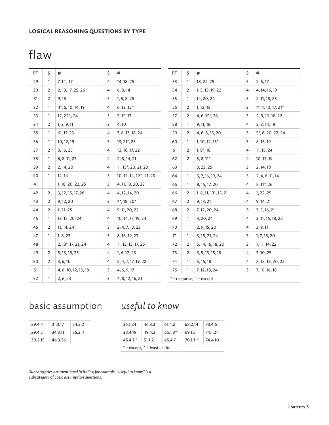#### **LOGICAL REASONING QUESTIONS BY TYPE**

### flaw

| PT | S            | $\#$                            | S              | #                                  | PT                           | S              | #                                  | S              | #                         |  |  |
|----|--------------|---------------------------------|----------------|------------------------------------|------------------------------|----------------|------------------------------------|----------------|---------------------------|--|--|
| 29 | 1            | 7, 14, 17                       | 4              | 14, 18, 25                         | 53                           | 1              | 18, 22, 25                         | 3              | 2, 6, 17                  |  |  |
| 30 | 2            | 2, 13, 17, 25, 26               | 4              | 6, 8, 14                           | 54                           | $\overline{2}$ | 1, 5, 15, 19, 22                   | $\overline{4}$ | 4, 14, 16, 19             |  |  |
| 31 | 2            | 9,18                            | 3              | 1, 5, 8, 25                        | 55                           | $\mathbf{1}$   | 14, 20, 24                         | 3              | 2, 11, 18, 25             |  |  |
| 32 | $\mathbf{1}$ | 4*, 6, 10, 14, 19               | 4              | $6, 13, 15^{\circ}$                | 56                           | $\overline{2}$ | 1, 12, 15                          | 3              | $1^*$ , 4, 10, 17, 21 $*$ |  |  |
| 33 | 1            | $12, 22^{\degree}, 24$          | 3              | 5, 15, 17                          | 57                           | 2              | $4, 6, 15^*$ , 26                  | 3              | 2, 8, 10, 18, 22          |  |  |
| 34 | 2            | 1, 3, 9, 11                     | 3              | 4,10                               | 58                           | $\mathbf{1}$   | 9, 11, 18                          | 4              | 5, 8, 14, 18              |  |  |
| 35 | 1            | $6^*$ , 17, 23                  | 4              | 7, 8, 13, 18, 24                   | 59                           | 2              | 4, 6, 8, 15, 20                    | 3              | 5*, 8, 20, 22, 24         |  |  |
| 36 | 1            | 10, 12, 19                      | 3              | 13, 21*, 25                        | 60                           | 1              | $1, 10, 12, 15$ <sup>*</sup>       | 3              | 8, 16, 19                 |  |  |
| 37 | 2            | 3, 16, 25                       | 4              | 12, 16, 17, 22                     | 61                           | $\overline{2}$ | 1, 8, 18                           | 4              | 11, 15, 24                |  |  |
| 38 | 1            | 6, 8, 11, 23                    | 4              | 2, 8, 14, 21                       | 62                           | $\overline{2}$ | $5, 8, 11*$                        | 4              | 10, 13, 19                |  |  |
| 39 | 2            | 2, 14, 20                       | 4              | 11, 15*, 20, 21, 23                | 63                           | $\mathbf{1}$   | 3, 23, 25                          | 3              | 2, 14, 18                 |  |  |
| 40 | 1            | 12, 14                          | 3              | 10, 12, 14, 19 $^{\circ}$ , 21, 23 | 64                           | $\mathbf{1}$   | 5, 7, 16, 19, 24                   | 3              | 2, 4, 6, 11, 14           |  |  |
| 41 | 1            | 1, 18, 20, 22, 25               | 3              | 4, 11, 13, 20, 23                  | 65                           | $\mathbf{1}$   | 8, 15, 17, 20                      | 4              | 8, 11*, 26                |  |  |
| 42 | 2            | 3, 12, 15, 17, 26               | 4              | 4, 12, 14, 20                      | 66                           | $\overline{2}$ | 1, 8, 11, 13 <sup>*</sup> , 15, 21 | 4              | 1, 22, 25                 |  |  |
| 43 | 2            | 9, 12, 20                       | 3              | $4^*$ , 18, 20 $*$                 | 67                           | 2              | 9, 13, 21                          | 4              | 9, 14, 21                 |  |  |
| 44 | 2            | 1, 21, 25                       | 4              | 9, 11, 20, 22                      | 68                           | $\overline{2}$ | 7, 12, 20, 24                      | 3              | 3, 5, 16, 21              |  |  |
| 45 | $\mathbf{1}$ | 13, 15, 20, 24                  | 4              | 10, 14, 17, 19, 24                 | 69                           | $\mathbf{1}$   | 3, 20, 24                          | 4              | 3, 11, 16, 18, 22         |  |  |
| 46 | 2            | 11, 14, 24                      | 3              | 2, 4, 7, 13, 23                    | 70                           | 1              | 2, 9, 15, 20                       | 4              | 3, 9, 11                  |  |  |
| 47 | $\mathbf{1}$ | 1, 8, 23                        | 3              | 8, 16, 19, 23                      | 71                           | $\mathbf{1}$   | 3, 18, 21, 24                      | 3              | 1, 7, 18, 20              |  |  |
| 48 | 1            | 2, 13 <sup>*</sup> , 17, 21, 24 | 4              | 11, 13, 15, 17, 25                 | 72                           | 2              | 5, 14, 16, 18, 20                  | 3              | 7, 11, 14, 22             |  |  |
| 49 | 2            | 5, 13, 18, 23                   | $\overline{4}$ | 1, 6, 12, 23                       | 73                           | 2              | 3, 5, 13, 15, 18                   | 4              | 3, 10, 25                 |  |  |
| 50 | 2            | 3, 6, 10                        | 4              | 2, 4, 7, 17, 19, 22                | 74                           | $\mathbf{1}$   | 5, 16, 18                          | 4              | 8, 15, 18, 20, 22         |  |  |
| 51 | $\mathbf{1}$ | 4, 6, 10, 12, 15, 18            | 3              | 4, 6, 9, 17                        | 75                           | $\mathbf{1}$   | 7, 12, 18, 24                      | 3              | 7, 10, 16, 18             |  |  |
| 52 | 1            | 2, 6, 23                        | 3              | 4, 8, 12, 16, 21                   | $*$ = response; $*$ = except |                |                                    |                |                           |  |  |

#### basic assumption *useful to know*

| 29.4.4  | 31.3.17 | 54.2.2 |
|---------|---------|--------|
| 29.4.5  | 34.3.11 | 56.2.4 |
| 30.2.15 | 46.3.26 |        |

| 36.1.24                                | 146.3.3 | 61.4.2  | 68.2.14 73.46             |         |  |  |  |  |  |
|----------------------------------------|---------|---------|---------------------------|---------|--|--|--|--|--|
| 38.4.19 49.4.2                         |         | 65.1.3^ | 69.1.5                    | 74.1.21 |  |  |  |  |  |
| $45.4.11*$ 51.1.2                      |         | 65.4.7  | $70.1.11^{\circ}$ 74.4.10 |         |  |  |  |  |  |
| $*$ = except, $\hat{ }$ = least useful |         |         |                           |         |  |  |  |  |  |

*Subcategories are mentioned in italics; for example, "useful to know" is a subcategory of basic assumption questions.*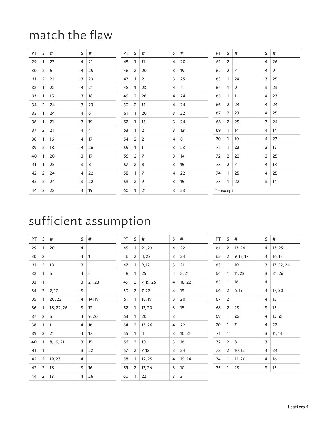### match the flaw

| PT. | S              | #  | S.             | #              | PT | S              | #              | S.             | $\#$  | PT           | S              | #              | S              | #  |
|-----|----------------|----|----------------|----------------|----|----------------|----------------|----------------|-------|--------------|----------------|----------------|----------------|----|
| 29  |                | 23 | $\overline{4}$ | 21             | 45 | 1              | 11             | $\overline{4}$ | 20    | 61           | $\overline{2}$ |                | $\overline{4}$ | 26 |
| 30  | $\overline{2}$ | 6  | $\overline{4}$ | 25             | 46 | 2              | 20             | 3              | 19    | 62           | $\overline{2}$ | $\overline{7}$ | $\overline{4}$ | 9  |
| 31  | 2              | 21 | 3              | 23             | 47 | $\mathbf{1}$   | 21             | $\overline{3}$ | 25    | 63           | $\mathbf{1}$   | 24             | 3              | 25 |
| 32  |                | 22 | $\overline{4}$ | 21             | 48 | 1              | 23             | $\overline{4}$ | 4     | 64           | 1              | 9              | 3              | 23 |
| 33  |                | 15 | 3              | 18             | 49 | $\overline{2}$ | 26             | $\overline{4}$ | 24    | 65           | 1              | 11             | 4              | 23 |
| 34  | $\overline{2}$ | 24 | 3              | 23             | 50 | 2              | 17             | $\overline{4}$ | 24    | 66           | 2              | 24             | 4              | 24 |
| 35  |                | 24 | $\overline{4}$ | 6              | 51 | $\mathbf{1}$   | 20             | $\mathsf{3}$   | 22    | 67           | 2              | 23             | 4              | 25 |
| 36  |                | 21 | $\overline{3}$ | 19             | 52 | $\mathbf{1}$   | 16             | $\overline{3}$ | 24    | 68           | $\overline{2}$ | 25             | 3              | 24 |
| 37  | $\overline{2}$ | 21 | $\overline{4}$ | $\overline{4}$ | 53 | 1              | 21             | 3              | $13*$ | 69           | 1              | 14             | 4              | 14 |
| 38  |                | 16 | 4              | 17             | 54 | $\overline{2}$ | 21             | 4              | 8     | 70           | 1              | 10             | 4              | 23 |
| 39  | 2              | 18 | $\overline{4}$ | 26             | 55 | $\mathbf{1}$   | $\mathbf{1}$   | 3              | 23    | 71           | $\mathbf{1}$   | 23             | 3              | 15 |
| 40  | 1.             | 20 | 3              | 17             | 56 | $\overline{2}$ | 7              | $\mathsf{3}$   | 14    | 72           | $\overline{2}$ | 22             | 3              | 25 |
| 41  |                | 23 | 3              | 8              | 57 | $\overline{2}$ | 8              | 3              | 15    | 73           | 2              | $\overline{7}$ | 4              | 18 |
| 42  | $\overline{2}$ | 24 | $\overline{4}$ | 22             | 58 | $\mathbf{1}$   | $\overline{7}$ | $\overline{4}$ | 22    | 74           | $\mathbf{1}$   | 25             | 4              | 25 |
| 43  | 2              | 24 | 3              | 22             | 59 | $\overline{2}$ | 9              | 3              | 15    | 75           | $\overline{1}$ | 22             | 3              | 14 |
| 44  | 2              | 22 | 4              | 19             | 60 | 1              | 21             | 3              | 23    | $* =$ except |                |                |                |    |

### sufficient assumption

| PT | S              | #          | S | #              |
|----|----------------|------------|---|----------------|
| 29 | 1              | 20         | 4 |                |
| 30 | $\overline{2}$ |            | 4 | 1              |
| 31 | 2              | 10         | 3 |                |
| 32 | 1              | 5          | 4 | $\overline{4}$ |
| 33 | 1              |            | 3 | 21, 23         |
| 34 | 2              | 2,10       | 3 |                |
| 35 | 1              | 20, 22     | 4 | 14, 19         |
| 36 | 1              | 18, 22, 26 | 3 | 12             |
| 37 | 2              | 5          | 4 | 9,20           |
| 38 | 1              | 1          | 4 | 16             |
| 39 | 2              | 21         | 4 | 17             |
| 40 | 1              | 8, 19, 21  | 3 | 15             |
| 41 | 1              |            | 3 | 22             |
| 42 | 2              | 19, 23     | 4 |                |
| 43 | 2              | 18         | 3 | 16             |
| 44 | 2              | 13         | 4 | 26             |

| PT | S | #         | S | #      |
|----|---|-----------|---|--------|
| 45 | 1 | 21, 23    | 4 | 22     |
| 46 | 2 | 4,23      | 3 | 24     |
| 47 | 1 | 9,12      | 3 | 21     |
| 48 | 1 | 25        | 4 | 8, 21  |
| 49 | 2 | 7, 19, 25 | 4 | 18, 22 |
| 50 | 2 | 7, 22     | 4 | 13     |
| 51 | 1 | 16, 19    | 3 | 20     |
| 52 | 1 | 17, 20    | 3 | 15     |
| 53 | 1 | 20        | 3 |        |
| 54 | 2 | 13, 26    | 4 | 22     |
| 55 | 1 | 4         | 3 | 10, 21 |
| 56 | 2 | 10        | 3 | 16     |
| 57 | 2 | 7, 12     | 3 | 24     |
| 58 | 1 | 12, 25    | 4 | 19, 24 |
| 59 | 2 | 17, 26    | 3 | 10     |
| 60 | 1 | 22        | 3 | 3      |

| PT | S              | #         | S | #          |
|----|----------------|-----------|---|------------|
| 61 | 2              | 13, 24    | 4 | 13, 25     |
| 62 | 2              | 9, 15, 17 | 4 | 16, 18     |
| 63 | 1              | 10        | 3 | 17, 22, 24 |
| 64 | 1              | 11, 23    | 3 | 21, 26     |
| 65 | 1              | 16        | 4 |            |
| 66 | 2              | 6,19      | 4 | 17, 20     |
| 67 | 2              |           | 4 | 13         |
| 68 | $\overline{2}$ | 23        | 3 | 15         |
| 69 | 1              | 25        | 4 | 13, 21     |
| 70 | 1              | 7         | 4 | 22         |
| 71 | 1              |           | 3 | 11, 14     |
| 72 | $\overline{2}$ | 8         | 3 |            |
| 73 | 2              | 10, 12    | 4 | 24         |
| 74 | 1              | 12,20     | 4 | 16         |
| 75 | 1              | 23        | 3 | 15         |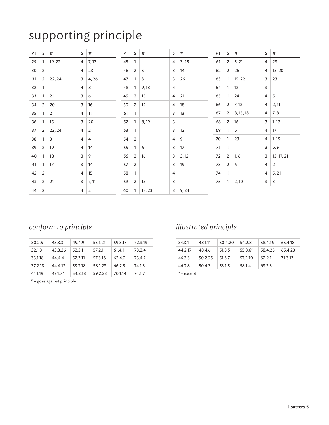### supporting principle

| PT | S              | #      | S              | #     | PT | S.           | #      | S              | $\#$  | PT | S              | $\#$      | S | #          |
|----|----------------|--------|----------------|-------|----|--------------|--------|----------------|-------|----|----------------|-----------|---|------------|
| 29 | 1              | 19, 22 | 4              | 7,17  | 45 | 1            |        | 4              | 3, 25 | 61 | $\overline{2}$ | 5, 21     | 4 | 23         |
| 30 | 2              |        | $\overline{4}$ | 23    | 46 | 2            | 5      | 3              | 14    | 62 | $\overline{2}$ | 26        | 4 | 15, 20     |
| 31 | $\overline{2}$ | 22, 24 | 3              | 4,26  | 47 | 1            | 3      | 3              | 26    | 63 | $\mathbf{1}$   | 15, 22    | 3 | 23         |
| 32 | $\mathbf{1}$   |        | 4              | 8     | 48 | $\mathbf{1}$ | 9,18   | 4              |       | 64 | 1              | 12        | 3 |            |
| 33 |                | 21     | 3              | 6     | 49 | 2            | 15     | 4              | 21    | 65 | 1              | 24        | 4 | 5          |
| 34 | 2              | 20     | 3              | 16    | 50 | 2            | 12     | 4              | 18    | 66 | $\overline{2}$ | 7,12      | 4 | 2, 11      |
| 35 | 1              | 2      | $\overline{4}$ | 11    | 51 | 1            |        | 3              | 13    | 67 | 2              | 8, 15, 18 | 4 | 7,8        |
| 36 | $\mathbf{1}$   | 15     | 3              | 20    | 52 | $\mathbf{1}$ | 8,19   | $\mathsf{3}$   |       | 68 | 2              | 16        | 3 | 1, 12      |
| 37 | 2              | 22, 24 | $\overline{4}$ | 21    | 53 | 1            |        | 3              | 12    | 69 | $\mathbf{1}$   | 6         | 4 | 17         |
| 38 | 1              | 3      | 4              | 4     | 54 | 2            |        | 4              | 9     | 70 | 1              | 23        | 4 | 1, 15      |
| 39 | 2              | 19     | $\overline{4}$ | 14    | 55 | $\mathbf{1}$ | 6      | 3              | 17    | 71 | 1              |           | 3 | 6, 9       |
| 40 | 1              | 18     | 3              | 9     | 56 | 2            | 16     | $\overline{3}$ | 3,12  | 72 | $\overline{2}$ | 1, 6      | 3 | 13, 17, 21 |
| 41 | $\mathbf{1}$   | 17     | $\overline{3}$ | 14    | 57 | 2            |        | $\overline{3}$ | 19    | 73 | $\overline{2}$ | 6         | 4 | 2          |
| 42 | $\overline{2}$ |        | $\overline{4}$ | 15    | 58 | 1            |        | 4              |       | 74 | 1              |           | 4 | 5, 21      |
| 43 | 2              | 21     | 3              | 7, 11 | 59 | 2            | 13     | 3              |       | 75 | 1              | 2,10      | 3 | 3          |
| 44 | 2              |        | 4              | 2     | 60 | $\mathbf{1}$ | 18, 23 | 3              | 9, 24 |    |                |           |   |            |

#### *conform to principle*

| 30.2.5                     | 43.3.3    | 49.4.9  | 55.1.21 | 59.3.18 | 72.3.19 |
|----------------------------|-----------|---------|---------|---------|---------|
| 32.1.3                     | 43.3.26   | 52.3.1  | 57.2.1  | 61.4.1  | 73.2.4  |
| 33.1.18                    | 44.4.4    | 52.3.11 | 57.3.16 | 62.4.2  | 73.4.7  |
| 37.2.18                    | 44.4.13   | 53.3.18 | 58.1.23 | 66.2.9  | 74.1.3  |
| 41.1.19                    | $47.1.7*$ | 54.2.18 | 59.2.23 | 70.1.14 | 74.1.7  |
| * = goes against principle |           |         |         |         |         |

#### *illustrated principle*

| 34.3.1       | 48.1.11 | 50.4.20 | 54.2.8    | 58.4.16 | 65.4.18 |  |  |  |  |
|--------------|---------|---------|-----------|---------|---------|--|--|--|--|
| 44.2.17      | 48.4.6  | 51.3.5  | $55.3.6*$ | 58.4.25 | 65.4.23 |  |  |  |  |
| 46.2.3       | 50.2.25 | 51.3.7  | 57.2.10   | 62.2.1  | 71.3.13 |  |  |  |  |
| 46.3.8       | 50.4.3  | 53.1.5  | 58.1.4    | 63.3.3  |         |  |  |  |  |
| $* =$ except |         |         |           |         |         |  |  |  |  |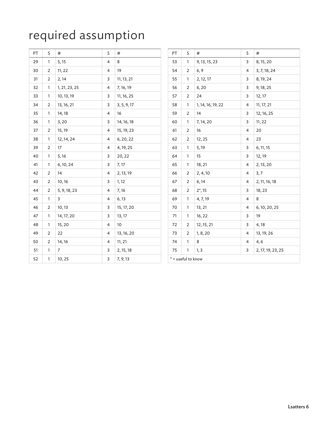## required assumption

| PT | S              | #             | S                       | $\#$        |
|----|----------------|---------------|-------------------------|-------------|
| 29 | 1              | 5, 15         | 4                       | 8           |
| 30 | $\overline{2}$ | 11, 22        | $\overline{\mathbf{4}}$ | 19          |
| 31 | $\mathbf 2$    | 2,14          | 3                       | 11, 13, 21  |
| 32 | 1              | 1, 21, 23, 25 | $\overline{\mathbf{4}}$ | 7, 16, 19   |
| 33 | $\mathbf{1}$   | 10, 13, 19    | 3                       | 11, 16, 25  |
| 34 | $\overline{2}$ | 13, 16, 21    | 3                       | 3, 5, 9, 17 |
| 35 | 1              | 14, 18        | 4                       | 16          |
| 36 | 1              | 3,20          | 3                       | 14, 16, 18  |
| 37 | 2              | 15, 19        | 4                       | 15, 19, 23  |
| 38 | 1              | 12, 14, 24    | 4                       | 6, 20, 22   |
| 39 | $\overline{2}$ | 17            | 4                       | 4, 19, 25   |
| 40 | 1              | 5, 16         | 3                       | 20, 22      |
| 41 | 1              | 6, 10, 24     | 3                       | 7,17        |
| 42 | 2              | 14            | 4                       | 2, 13, 19   |
| 43 | 2              | 10,16         | 3                       | 1, 12       |
| 44 | 2              | 5, 9, 18, 23  | 4                       | 7, 16       |
| 45 | 1              | 3             | 4                       | 6, 13       |
| 46 | 2              | 10, 13        | 3                       | 15, 17, 20  |
| 47 | 1              | 14, 17, 20    | 3                       | 13, 17      |
| 48 | 1              | 15, 20        | 4                       | 10          |
| 49 | 2              | 22            | 4                       | 13, 16, 20  |
| 50 | 2              | 14, 16        | 4                       | 11, 21      |
| 51 | 1              | 7             | 3                       | 2, 15, 18   |
| 52 | 1              | 10, 25        | 3                       | 7, 9, 13    |

| PT | S                  | #                 | S              | #                 |
|----|--------------------|-------------------|----------------|-------------------|
| 53 | 1                  | 9, 13, 15, 23     | 3              | 8, 15, 20         |
| 54 | 2                  | 6, 9              | 4              | 3, 7, 18, 24      |
| 55 | 1                  | 2, 12, 17         | 3              | 8, 19, 24         |
| 56 | 2                  | 6, 20             | 3              | 9, 18, 25         |
| 57 | 2                  | 24                | 3              | 12, 17            |
| 58 | 1                  | 1, 14, 16, 19, 22 | 4              | 11, 17, 21        |
| 59 | 2                  | 14                | 3              | 12, 16, 25        |
| 60 | 1                  | 7, 14, 20         | 3              | 11, 22            |
| 61 | 2                  | 16                | $\overline{4}$ | 20                |
| 62 | $\overline{2}$     | 12, 25            | $\overline{4}$ | 23                |
| 63 | 1                  | 5, 19             | 3              | 6, 11, 15         |
| 64 | 1                  | 15                | 3              | 12, 19            |
| 65 | 1                  | 18, 21            | 4              | 2, 13, 20         |
| 66 | 2                  | 2, 4, 10          | 4              | 3,7               |
| 67 | $\overline{2}$     | 6, 14             | 4              | 2, 11, 16, 18     |
| 68 | $\overline{2}$     | $2^*$ , 15        | 3              | 18, 23            |
| 69 | 1                  | 4, 7, 19          | 4              | 8                 |
| 70 | 1                  | 13, 21            | 4              | 6, 10, 20, 25     |
| 71 | 1                  | 16, 22            | 3              | 19                |
| 72 | 2                  | 12, 15, 21        | 3              | 4,18              |
| 73 | 2                  | 1, 8, 20          | 4              | 13, 19, 26        |
| 74 | 1                  | 8                 | 4              | 4,6               |
| 75 | 1                  | 1, 3              | 3              | 2, 17, 19, 23, 25 |
|    | * = useful to know |                   |                |                   |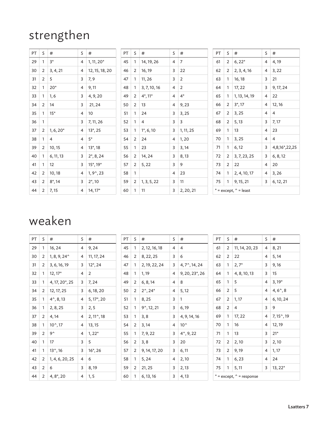### strengthen

| PT. | S              | #              | S              | $\#$                    | PT | S | $\#$           | S              | $\#$               | PT | S              | $\#$                            | S              | #              |
|-----|----------------|----------------|----------------|-------------------------|----|---|----------------|----------------|--------------------|----|----------------|---------------------------------|----------------|----------------|
| 29  |                | $3*$           | 4              | $1, 11, 20*$            | 45 | 1 | 14, 19, 26     | 4              | 7                  | 61 | $2^{\circ}$    | $6, 22*$                        | $\overline{4}$ | 4,19           |
| 30  | 2              | 3, 4, 21       | 4              | 12, 15, 18, 20          | 46 | 2 | 16, 19         | 3              | 22                 | 62 | 2              | 2, 3, 4, 16                     | 4              | 3, 22          |
| 31  | $\overline{2}$ | 5              | 3              | 7, 9                    | 47 | 1 | 11, 26         | 3              | $\overline{2}$     | 63 |                | 16, 18                          | 3              | 21             |
| 32  |                | $20*$          | 4              | 9, 11                   | 48 | 1 | 3, 7, 10, 16   | 4              | $\overline{2}$     | 64 |                | 17, 22                          | 3              | 9, 17, 24      |
| 33  |                | 1, 6           | 3              | 4, 9, 20                | 49 | 2 | $4^*$ , 11 $*$ | 4              | $4^*$              | 65 |                | 1, 13, 14, 19                   | 4              | 22             |
| 34  | 2              | 14             | 3              | 21, 24                  | 50 | 2 | 13             | 4              | 9,23               | 66 | $\overline{2}$ | 3,17                            | 4              | 12, 16         |
| 35  |                | $15*$          | 4              | 10                      | 51 | 1 | 24             | 3              | 3,25               | 67 | 2              | 3,25                            | 4              | $\overline{4}$ |
| 36  | $\mathbf{1}$   |                | 3              | 7, 11, 26               | 52 | 1 | 4              | 3              | 3                  | 68 | $\overline{2}$ | 5, 13                           | 3              | 7, 17          |
| 37  | $\overline{2}$ | $1, 6, 20*$    | 4              | $13^*$ , 25             | 53 | 1 | $1^*$ , 6, 10  | 3              | 1, 11, 25          | 69 | 1              | 13                              | 4              | 23             |
| 38  |                | $\overline{4}$ | $\overline{4}$ | $5*$                    | 54 | 2 | 24             | 4              | 1,20               | 70 |                | 3, 25                           | 4              | $\overline{4}$ |
| 39  | 2              | 10, 15         | 4              | $13^*$ , 18             | 55 | 1 | 23             | $\overline{3}$ | 3,14               | 71 |                | 6, 12                           | 3              | 4,8,16*,22,25  |
| 40  |                | 6, 11, 13      | 3              | $2^*$ , 8, 24           | 56 | 2 | 14, 24         | 3              | 8,13               | 72 | 2              | 3, 7, 23, 25                    | 3              | 6, 8, 12       |
| 41  |                | 12             | 3              | $15^*$ , 19 $*$         | 57 | 2 | 5, 22          | 3              | 9                  | 73 | 2              | 22                              | 4              | 20             |
| 42  | 2              | 10, 18         | 4              | $1, 9^{\circ}, 23$      | 58 | 1 |                | 4              | 23                 | 74 |                | 2, 4, 10, 17                    | 4              | 3,26           |
| 43  | 2              | $8^*$ , 14     | 3              | $2^*$ , 10              | 59 | 2 | 1, 3, 5, 22    | 3              | 11                 | 75 | $\mathbf{1}$   | 9, 15, 21                       | 3              | 6, 12, 21      |
| 44  | $\overline{2}$ | 7,15           |                | $4$ 14, 17 <sup>*</sup> | 60 | 1 | 11             |                | $3 \mid 2, 20, 21$ |    |                | $* =$ except, $\hat{ }$ = least |                |                |

### weaken

| PT | S              | #                           | S | #                   | PT | S | #                   | S | #                        | <b>PT</b> | S              | #                            | S.             | #                     |
|----|----------------|-----------------------------|---|---------------------|----|---|---------------------|---|--------------------------|-----------|----------------|------------------------------|----------------|-----------------------|
| 29 |                | 16, 24                      | 4 | 9, 24               | 45 | 1 | 2, 12, 16, 18       | 4 | 4                        | 61        | 2              | 11, 14, 20, 23               | 4              | 8, 21                 |
| 30 | 2              | $1, 8, 9, 24^{\circ}$       | 4 | 11, 17, 24          | 46 | 2 | 8, 22, 25           | 3 | 6                        | 62        | 2              | 22                           | 4              | 5,14                  |
| 31 | 2              | 3, 6, 16, 19                | 3 | $12^*$ , 24         | 47 | 1 | 2, 19, 22, 24       | 3 | $4, 7^{\degree}, 14, 24$ | 63        | 1              | $2,7^*$                      | 3              | 9,16                  |
| 32 |                | $12, 17*$                   | 4 | 2                   | 48 | 1 | 1, 19               | 4 | 9, 20, 23, 26            | 64        | 1              | 4, 8, 10, 13                 | 3              | 15                    |
| 33 |                | 4, 17, 20 <sup>*</sup> , 25 | 3 | 7, 24               | 49 | 2 | 6, 8, 14            | 4 | 8                        | 65        | 1              | 5                            | 4              | $3,19*$               |
| 34 | 2              | 12, 17, 25                  | 3 | 6, 18, 20           | 50 | 2 | $2^{\sim}$ , 24*    | 4 | 5, 12                    | 66        | 2              | 5                            | 4              | $4, 6^{\degree}, 8$   |
| 35 |                | $4^{\sim}$ , 8, 13          | 4 | $5, 17^*$ , 20      | 51 | 1 | 8,25                | 3 | 1                        | 67        | 2              | 1, 17                        | $4^{\circ}$    | 6, 10, 24             |
| 36 |                | 2, 8, 25                    | 3 | 2, 5                | 52 | 1 | $9^{\circ}, 12, 21$ | 3 | 6, 19                    | 68        | $\overline{2}$ | 4                            | 3              | 9                     |
| 37 | $\overline{2}$ | 4,14                        | 4 | $2, 11^{\circ}, 18$ | 53 | 1 | 3, 8                | 3 | 4, 9, 14, 16             | 69        | 1              | 17, 22                       | 4              | $7, 15^{\degree}, 19$ |
| 38 | 1              | $10^{\circ}, 17$            | 4 | 13, 15              | 54 | 2 | 3,14                | 4 | $10^{\circ}$             | 70        | 1              | 16                           | $\overline{4}$ | 12, 19                |
| 39 | $\overline{2}$ | 9^                          | 4 | $1, 22*$            | 55 | 1 | 7, 9, 22            | 3 | $4^{\circ}, 9, 22$       | 71        | 1              | 13                           | 3              | $21*$                 |
| 40 |                | 17                          | 3 | 5                   | 56 | 2 | 3, 8                | 3 | 20                       | 72        | 2              | 2,10                         | 3              | 2,10                  |
| 41 | $\mathbf{1}$   | $13^{\circ}, 16$            | 3 | $16^*$ , 26         | 57 | 2 | 9, 14, 17, 20       | 3 | 6, 11                    | 73        | 2              | 9,19                         | 4              | 1, 17                 |
| 42 | $\overline{2}$ | 1, 4, 6, 20, 25             | 4 | 6                   | 58 | 1 | 5, 24               | 4 | 2,10                     | 74        | 1              | 6, 23                        | 4              | 24                    |
| 43 | $\overline{2}$ | 6                           | 3 | 8,19                | 59 | 2 | 21, 25              | 3 | 2, 13                    | 75        | 1              | 5, 11                        | 3              | $13, 22*$             |
| 44 | $\overline{2}$ | $4, 8^*$ , 20               | 4 | 1, 5                | 60 | 1 | 6, 13, 16           | 3 | 4, 13                    |           |                | $* =$ except, $* =$ response |                |                       |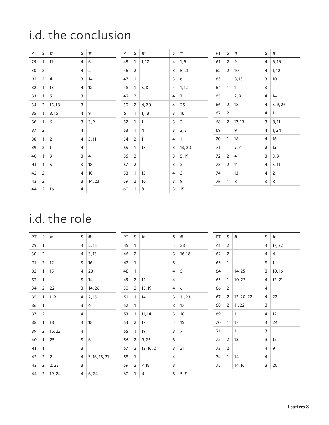### i.d. the conclusion

| PT | S              | #      | S | #              |
|----|----------------|--------|---|----------------|
| 29 | 1              | 11     | 4 | 6              |
| 30 | $\overline{2}$ |        | 4 | $\overline{2}$ |
| 31 | $\overline{2}$ | 4      | 3 | 14             |
| 32 | 1              | 13     | 4 | 12             |
| 33 | 1              | 5      | 3 |                |
| 34 | 2              | 15, 18 | 3 |                |
| 35 | 1              | 3,16   | 4 | 9              |
| 36 | 1              | 6      | 3 | 3, 9           |
| 37 | $\overline{2}$ |        | 4 |                |
| 38 | 1              | 2      | 4 | 3, 11          |
| 39 | $\overline{2}$ | 1      | 4 |                |
| 40 | 1              | 9      | 3 | 4              |
| 41 | 1              | 5      | 3 | 18             |
| 42 | $\overline{2}$ |        | 4 | 10             |
| 43 | 2              |        | 3 | 14, 23         |
| 44 | $\overline{2}$ | 16     | 4 |                |

| PT | S              | #     | S | #              |
|----|----------------|-------|---|----------------|
| 45 | 1              | 1, 17 | 4 | 1, 9           |
| 46 | $\overline{2}$ |       | 3 | 5, 21          |
| 47 | 1              |       | 3 | 6              |
| 48 | 1              | 5, 8  | 4 | 1, 12          |
| 49 | 2              |       | 4 | 7              |
| 50 | 2              | 4,20  | 4 | 25             |
| 51 | 1              | 1, 13 | 3 | 16             |
| 52 | 1              | 1     | 3 | $\overline{2}$ |
| 53 | 1              | 4     | 3 | 3, 5           |
| 54 | 2              | 11    | 4 | 11             |
| 55 | 1              | 18    | 3 | 13, 20         |
| 56 | 2              |       | 3 | 5, 19          |
| 57 | $\overline{2}$ |       | 3 | 3              |
| 58 | 1              | 13    | 4 | 3              |
| 59 | 2              | 10    | 3 | 9              |
| 60 | 1              | 8     | 3 | 15             |

| PT | S              | #              | S | #        |
|----|----------------|----------------|---|----------|
| 61 | $\overline{2}$ | 9              | 4 | 6, 16    |
| 62 | 2              | 10             | 4 | 1, 12    |
| 63 | 1              | 8,13           | 3 | 10       |
| 64 | 1              | 1              | 3 |          |
| 65 | 1              | 2, 9           | 4 | 14       |
| 66 | 2              | 18             | 4 | 5, 9, 26 |
| 67 | 2              |                | 4 | 1        |
| 68 | 2              | 17, 19         | 3 | 8, 11    |
| 69 | 1              | 9              | 4 | 1, 24    |
| 70 | 1              | 18             | 4 | 16       |
| 71 | 1              | 5,7            | 3 | 12       |
| 72 | $\overline{2}$ | $\overline{4}$ | 3 | 3,9      |
| 73 | $\overline{2}$ | 11             | 4 | 5, 11    |
| 74 | 1              | 13             | 4 | 2        |
| 75 | 1              | 8              | 3 | 8        |

### i.d. the role

| PT | S              | #      | S              | #             |
|----|----------------|--------|----------------|---------------|
| 29 | 1              |        | 4              | 2, 15         |
| 30 | 2              |        | 4              | 3, 13         |
| 31 | 2              | 12     | 3              | 16            |
| 32 | 1              | 15     | 4              | 23            |
| 33 | 1              |        | 3              | 14            |
| 34 | 2              | 22     | 3              | 14, 26        |
| 35 | 1              | 1, 9   | 4              | 2, 15         |
| 36 | 1              |        | 3              | 6             |
| 37 | 2              |        | 4              |               |
| 38 | 1              | 18     | 4              | 18            |
| 39 | $\overline{2}$ | 16, 22 | $\overline{4}$ |               |
| 40 | 1              | 25     | 3              | 6             |
| 41 | 1              |        | 3              |               |
| 42 | 2              | 2      | 4              | 3, 16, 18, 21 |
| 43 | 2              | 2, 23  | 3              |               |
| 44 | 2              | 19, 24 | 4              | 6,24          |

| PT | S              | #          | S              | #              |
|----|----------------|------------|----------------|----------------|
| 45 | 1              |            | 4              | 23             |
| 46 | 2              |            | 3              | 16, 18         |
| 47 | 1              |            | 3              |                |
| 48 | 1              |            | 4              | 5              |
| 49 | 2              | 12         | 4              |                |
| 50 | $\overline{2}$ | 15, 19     | $\overline{4}$ | 6              |
| 51 | 1              | 14         | 3              | 11, 23         |
| 52 | 1              |            | 3              | 17             |
| 53 | 1              | 11, 14     | 3              | 10             |
| 54 | 2              | 17         | 4              | 15             |
| 55 | 1              | 19         | 3              | $\overline{7}$ |
| 56 | $\overline{2}$ | 9,25       | 3              |                |
| 57 | 2              | 13, 16, 21 | 3              | 21             |
| 58 | 1              |            | 4              |                |
| 59 | 2              | 7,18       | 3              |                |
| 60 | 1              | 4          | 3              | 5, 7           |

| PT | S              | #          | S              | #              |
|----|----------------|------------|----------------|----------------|
| 61 | 2              |            | 4              | 17, 22         |
| 62 | 2              |            | 4              | $\overline{4}$ |
| 63 | 1              |            | 3              | 1              |
| 64 | 1              | 14, 25     | 3              | 10, 16         |
| 65 | 1              | 10, 22     | 4              | 12, 21         |
| 66 | $\overline{2}$ |            | 4              |                |
| 67 | 2              | 12, 20, 22 | 4              | 22             |
| 68 | 2              | 11, 22     | 3              |                |
| 69 | 1              | 11         | $\overline{4}$ | 12             |
| 70 | 1              | 17         | 4              | 24             |
| 71 | 1              | 11         | 3              |                |
| 72 | 2              | 13         | 3              | 15             |
| 73 | 2              |            | 4              | 9              |
| 74 | 1              | 14         | $\overline{4}$ |                |
| 75 | 1              | 14, 16     | 3              | 20             |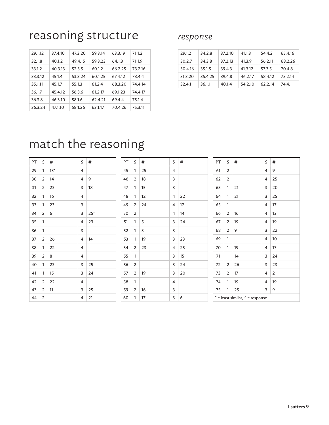### reasoning structure

| 29.1.12 | 37.4.10 | 47.3.20 | 59.3.14 | 63.3.19 | 71.1.2  |
|---------|---------|---------|---------|---------|---------|
| 32.1.8  | 40.1.2  | 49.4.15 | 59.3.23 | 64.1.3  | 71.1.9  |
| 33.1.2  | 40.3.13 | 52.3.5  | 60.1.2  | 66.2.25 | 73.2.16 |
| 33.3.12 | 45.1.4  | 53.3.24 | 60.1.25 | 67.4.12 | 73.4.4  |
| 35.1.11 | 45.1.7  | 55.1.3  | 61.2.4  | 68.3.20 | 74.4.14 |
| 36.1.7  | 45.4.12 | 56.3.6  | 61.2.17 | 69.1.23 | 74.4.17 |
| 36.3.8  | 46.3.10 | 58.1.6  | 62.4.21 | 69.4.4  | 75.1.4  |
| 36.3.24 | 47.1.10 | 58.1.26 | 63.1.17 | 70.4.26 | 75.3.11 |

#### *response*

| 29.1.2  | 34.2.8  | 37.2.10 | 41.1.3  | 54.4.2  | 65.4.16 |
|---------|---------|---------|---------|---------|---------|
| 30.2.7  | 34.3.8  | 37.2.13 | 41.3.9  | 56.2.11 | 68.2.26 |
| 30.4.16 | 35.1.5  | 39.4.3  | 41.3.12 | 57.3.5  | 70.4.8  |
| 31.3.20 | 35.4.25 | 39.4.8  | 46.2.17 | 58.4.12 | 73.2.14 |
| 32.4.1  | 36.1.1  | 40.1.4  | 54.2.10 | 62.2.14 | 74.4.1  |

### match the reasoning

| PT | S              | #     | S | #            |
|----|----------------|-------|---|--------------|
| 29 | 1              | $13*$ | 4 |              |
| 30 | 2              | 14    | 4 | 9            |
| 31 | 2              | 23    | 3 | 18           |
| 32 | 1              | 16    | 4 |              |
| 33 | 1              | 23    | 3 |              |
| 34 | $\overline{2}$ | 6     | 3 | $25^{\circ}$ |
| 35 | 1              |       | 4 | 23           |
| 36 | 1              |       | 3 |              |
| 37 | 2              | 26    | 4 | 14           |
| 38 | 1              | 22    | 4 |              |
| 39 | $\overline{2}$ | 8     | 4 |              |
| 40 | 1              | 23    | 3 | 25           |
| 41 | 1              | 15    | 3 | 24           |
| 42 | 2              | 22    | 4 |              |
| 43 | 2              | 11    | 3 | 25           |
| 44 | 2              |       | 4 | 21           |

| PT | S              | #  | S              | #  |
|----|----------------|----|----------------|----|
| 45 | 1              | 25 | 4              |    |
| 46 | 2              | 18 | 3              |    |
| 47 | 1              | 15 | 3              |    |
| 48 | 1              | 12 | 4              | 22 |
| 49 | 2              | 24 | $\overline{4}$ | 17 |
| 50 | $\overline{2}$ |    | $\overline{4}$ | 14 |
| 51 | 1              | 5  | 3              | 24 |
| 52 | 1              | 3  | 3              |    |
| 53 | 1              | 19 | 3              | 23 |
| 54 | $\overline{2}$ | 23 | $\overline{4}$ | 25 |
| 55 | 1              |    | 3              | 15 |
| 56 | 2              |    | 3              | 24 |
| 57 | 2              | 19 | 3              | 20 |
| 58 | 1              |    | $\overline{4}$ |    |
| 59 | 2              | 16 | 3              |    |
| 60 | 1              | 17 | 3              | 6  |

| PT | S              | #                               | S | #  |
|----|----------------|---------------------------------|---|----|
| 61 | 2              |                                 | 4 | 9  |
| 62 | 2              |                                 | 4 | 25 |
| 63 | 1              | 21                              | 3 | 20 |
| 64 | 1              | 21                              | 3 | 25 |
| 65 | 1              |                                 | 4 | 17 |
| 66 | 2              | 16                              | 4 | 13 |
| 67 | 2              | 19                              | 4 | 19 |
| 68 | $\overline{2}$ | 9                               | 3 | 22 |
| 69 | 1              |                                 | 4 | 10 |
| 70 | 1              | 19                              | 4 | 17 |
| 71 | 1              | 14                              | 3 | 24 |
| 72 | 2              | 26                              | 3 | 23 |
| 73 | 2              | 17                              | 4 | 21 |
| 74 | 1              | 19                              | 4 | 19 |
| 75 | 1              | 25                              | 3 | 9  |
|    |                | * = least similar, ^ = response |   |    |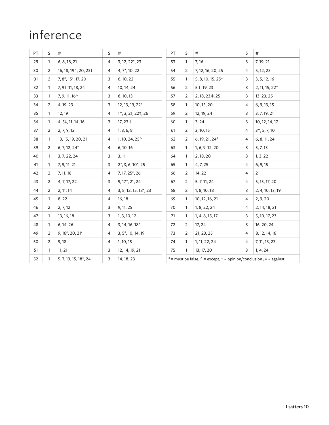### inference

| PT | S              | $\#$                                      | S              | $\#$                         | PT | S                                                                                          | $\#$                       | S              | $\#$                   |
|----|----------------|-------------------------------------------|----------------|------------------------------|----|--------------------------------------------------------------------------------------------|----------------------------|----------------|------------------------|
| 29 | 1              | 6, 8, 18, 21                              | 4              | 3, 12, 22*, 23               | 53 | $\mathbf{1}$                                                                               | 7, 16                      | 3              | 7, 19, 21              |
| 30 | 2              | 16, 18, 19^, 20, 23+                      | 4              | 4, 7*, 10, 22                | 54 | 2                                                                                          | 7, 12, 16, 20, 25          | 4              | 5, 12, 23              |
| 31 | 2              | 7, 8*, 15*, 17, 20                        | 3              | 6, 10, 22                    | 55 | 1                                                                                          | 5, 8, 10, 15, 25 $\degree$ | 3              | 3, 5, 12, 16           |
| 32 | 1              | 7, 9†, 11, 18, 24                         | 4              | 10, 14, 24                   | 56 | 2                                                                                          | $5 + 19, 23$               | 3              | 2, 11, 15, 22*         |
| 33 | 1              | 7, 9, 11, 16 <sup><math>\sim</math></sup> | 3              | 8, 10, 13                    | 57 | $\overline{2}$                                                                             | $2, 18, 23 \pm 25$         | 3              | 13, 23, 25             |
| 34 | 2              | 4, 19, 23                                 | 3              | 12, 13, 19, 22*              | 58 | $\mathbf{1}$                                                                               | 10, 15, 20                 | 4              | 6, 9, 13, 15           |
| 35 | $\mathbf{1}$   | 12, 19                                    | 4              | 1^, 3, 21, 22‡, 26           | 59 | $\overline{2}$                                                                             | 12, 19, 24                 | 3              | 3, 7, 19, 21           |
| 36 | 1              | 4, 5‡, 11, 14, 16                         | 3              | $17,23+$                     | 60 | 1                                                                                          | 3, 24                      | 3              | 10, 12, 14, 17         |
| 37 | $\overline{2}$ | 2, 7, 9, 12                               | 4              | 1, 3, 6, 8                   | 61 | 2                                                                                          | 3, 10, 15                  | 4              | $3^{\wedge}, 5, 7, 10$ |
| 38 | 1              | 13, 15, 19, 20, 21                        | 4              | 1, 10, 24, 25^               | 62 | $\overline{2}$                                                                             | 6, 19, 21, 24*             | $\overline{4}$ | 6, 8, 11, 24           |
| 39 | $\overline{2}$ | $6, 7, 12, 24*$                           | 4              | 6, 10, 16                    | 63 | 1                                                                                          | 1, 6, 9, 12, 20            | 3              | 5, 7, 13               |
| 40 | 1              | 3, 7, 22, 24                              | 3              | 3, 11                        | 64 | 1                                                                                          | 2, 18, 20                  | 3              | 1, 3, 22               |
| 41 | 1              | 7, 9, 11, 21                              | 3              | $2^*$ , 3, 6, 10 $^*$ , 25   | 65 | 1                                                                                          | 4, 7, 25                   | 4              | 6, 9, 15               |
| 42 | 2              | 7, 11, 16                                 | 4              | 7, 17, 25 <sup>*</sup> , 26  | 66 | 2                                                                                          | 14, 22                     | 4              | 21                     |
| 43 | $\overline{2}$ | 4, 7, 17, 22                              | 3              | 9, 17*, 21, 24               | 67 | 2                                                                                          | 5, 7, 11, 24               | $\overline{4}$ | 5, 15, 17, 20          |
| 44 | $\mathbf{2}$   | 2, 11, 14                                 | $\overline{4}$ | 3, 8, 12, 15, 18*, 23        | 68 | $\overline{2}$                                                                             | 1, 8, 10, 18               | 3              | 2, 4, 10, 13, 19       |
| 45 | $\mathbf{1}$   | 8,22                                      | 4              | 16, 18                       | 69 | 1                                                                                          | 10, 12, 16, 21             | $\overline{4}$ | 2, 9, 20               |
| 46 | 2              | 2, 7, 12                                  | 3              | 9, 11, 25                    | 70 | 1                                                                                          | 1, 8, 22, 24               | $\overline{4}$ | 2, 14, 18, 21          |
| 47 | $\mathbf{1}$   | 13, 16, 18                                | 3              | 1, 3, 10, 12                 | 71 | 1                                                                                          | 1, 4, 8, 15, 17            | 3              | 5, 10, 17, 23          |
| 48 | 1              | 6, 14, 26                                 | 4              | $3, 14, 16, 18$ <sup>*</sup> | 72 | 2                                                                                          | 17, 24                     | 3              | 16, 20, 24             |
| 49 | 2              | 9, 16*, 20, 21*                           | 4              | 3, 5*, 10, 14, 19            | 73 | 2                                                                                          | 21, 23, 25                 | 4              | 8, 12, 14, 16          |
| 50 | $\overline{2}$ | 9,18                                      | 4              | 1, 10, 15                    | 74 | $\mathbf{1}$                                                                               | 1, 11, 22, 24              | 4              | 7, 11, 13, 23          |
| 51 | $\mathbf{1}$   | 11, 21                                    | 3              | 12, 14, 19, 21               | 75 | $\mathbf{1}$                                                                               | 13, 17, 20                 | 3              | 1, 4, 24               |
| 52 | $\mathbf{1}$   | 5, 7, 13, 15, 18*, 24                     | 3              | 14, 18, 23                   |    | * = must be false, $\hat{ }$ = except, $\hat{ }$ = opinion/conclusion, $\hat{ }$ = against |                            |                |                        |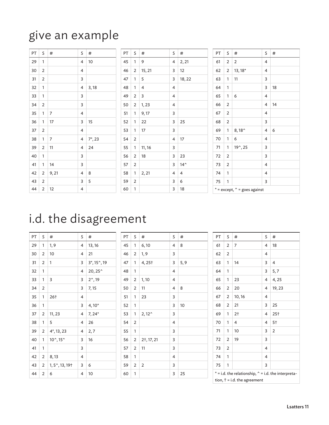### give an example

| PT | S              | #     | S              | #          | PT | S              | #      |
|----|----------------|-------|----------------|------------|----|----------------|--------|
| 29 | 1              |       | $\overline{4}$ | 10         | 45 | 1              | 9      |
| 30 | $\overline{2}$ |       | 4              |            | 46 | 2              | 15, 21 |
| 31 | 2              |       | 3              |            | 47 | 1              | 5      |
| 32 | 1              |       | 4              | 3,18       | 48 | 1              | 4      |
| 33 | $\mathbf{1}$   |       | 3              |            | 49 | 2              | 3      |
| 34 | $\overline{2}$ |       | 3              |            | 50 | 2              | 1,23   |
| 35 | $\mathbf{1}$   | 7     | $\overline{4}$ |            | 51 | 1              | 9, 17  |
| 36 | 1              | 17    | 3              | 15         | 52 | 1              | 22     |
| 37 | $\overline{2}$ |       | $\overline{4}$ |            | 53 | 1              | 17     |
| 38 | 1              | 7     | 4              | $7^*$ , 23 | 54 | 2              |        |
| 39 | $\overline{2}$ | 11    | 4              | 24         | 55 | 1              | 11, 16 |
| 40 | $\mathbf{1}$   |       | 3              |            | 56 | 2              | 18     |
| 41 | 1              | 14    | 3              |            | 57 | $\overline{2}$ |        |
| 42 | 2              | 9, 21 | 4              | 8          | 58 | 1              | 2, 21  |
| 43 | 2              |       | 3              | 5          | 59 | 2              |        |
| 44 | 2              | 12    | 4              |            | 60 | 1              |        |

| PT | S              | #                                     | S                        | #  |
|----|----------------|---------------------------------------|--------------------------|----|
| 61 | 2              | $\overline{2}$                        | $\overline{4}$           |    |
| 62 | 2              | 13, 18*                               | $\overline{4}$           |    |
| 63 | 1              | 11                                    | 3                        |    |
| 64 | 1              |                                       | 3                        | 18 |
| 65 | 1              | 6                                     | $\overline{4}$           |    |
| 66 | $\overline{2}$ |                                       | 4                        | 14 |
| 67 | $\overline{2}$ |                                       | 4                        |    |
| 68 | 2              |                                       | 3                        |    |
| 69 | 1              | 8,18^                                 | 4                        | 6  |
| 70 | 1              | 6                                     | $\overline{4}$           |    |
| 71 | 1              | 19^, 25                               | 3                        |    |
| 72 | $\overline{2}$ |                                       | 3                        |    |
| 73 | 2              |                                       | $\overline{\mathcal{L}}$ |    |
| 74 | 1              |                                       | 4                        |    |
| 75 | 1              |                                       | 3                        |    |
|    |                | $*$ = except, $\hat{}$ = goes against |                          |    |

### i.d. the disagreement

| PT | S | #                             | S | #                 |
|----|---|-------------------------------|---|-------------------|
| 29 | 1 | 1, 9                          | 4 | 13, 16            |
| 30 | 2 | 10                            | 4 | 21                |
| 31 | 2 | 1                             | 3 | 3, 15, 19         |
| 32 | 1 |                               | 4 | 20, 25^           |
| 33 | 1 | 3                             | 3 | $2^{\wedge}$ , 19 |
| 34 | 2 |                               | 3 | 7, 15             |
| 35 | 1 | 26†                           | 4 |                   |
| 36 | 1 |                               | 3 | $4,10*$           |
| 37 | 2 | 11, 23                        | 4 | $7, 24*$          |
| 38 | 1 | 5                             | 4 | 26                |
| 39 | 2 | $4^*$ , 13, 23                | 4 | 2,7               |
| 40 | 1 | $10^{\circ}, 15^{\circ}$      | 3 | 16                |
| 41 | 1 |                               | 3 |                   |
| 42 | 2 | 8, 13                         | 4 |                   |
| 43 | 2 | $1, 5^{\sim}, 13, 19^{\circ}$ | 3 | 6                 |
| 44 | 2 | 6                             | 4 | 10                |

| PT | S              | #              | S | $\#$ |
|----|----------------|----------------|---|------|
| 45 | 1              | 6, 10          | 4 | 8    |
| 46 | 2              | 1, 9           | 3 |      |
| 47 | 1              | 4,25+          | 3 | 5, 9 |
| 48 | 1              |                | 4 |      |
| 49 | 2              | 1,10           | 4 |      |
| 50 | $\overline{2}$ | 11             | 4 | 8    |
| 51 | 1              | 23             | 3 |      |
| 52 | 1              |                | 3 | 10   |
| 53 | 1              | $2,12^{\circ}$ | 3 |      |
| 54 | $\overline{2}$ |                | 4 |      |
| 55 | 1              |                | 3 |      |
| 56 | $\overline{2}$ | 21, 17, 21     | 3 |      |
| 57 | 2              | 11             | 3 |      |
| 58 | 1              |                | 4 |      |
| 59 | $\overline{2}$ | 2              | 3 |      |
| 60 | 1              |                | 3 | 25   |

 $S \mid #$  $4 \mid 2, 21$  $3 \mid 12$  $3 | 18, 22$ 

 $\overline{4}$  $\overline{4}$  $\overline{4}$  $\overline{3}$  $3 \mid 25$  $\overline{3}$  $4 \mid 17$  $\overline{\mathbf{3}}$  $3 \mid 23$  $3 \mid 14^{\wedge}$  $4 \mid 4$  $3 \mid 6$  $3 \mid 18$ 

| PT | S                                                                                                    | #              | S              | #      |  |  |  |
|----|------------------------------------------------------------------------------------------------------|----------------|----------------|--------|--|--|--|
| 61 | 2                                                                                                    | 7              | 4              | 18     |  |  |  |
| 62 | 2                                                                                                    |                | 4              |        |  |  |  |
| 63 | 1                                                                                                    | 14             | 3              | 4      |  |  |  |
| 64 | 1                                                                                                    |                | 3              | 5,7    |  |  |  |
| 65 | 1                                                                                                    | 23             | $\overline{4}$ | 4,25   |  |  |  |
| 66 | 2                                                                                                    | 20             | 4              | 19, 23 |  |  |  |
| 67 | 2                                                                                                    | 10, 16         | 4              |        |  |  |  |
| 68 | 2                                                                                                    | 21             | 3              | 25     |  |  |  |
| 69 | 1                                                                                                    | 2 <sub>1</sub> | 4              | 25†    |  |  |  |
| 70 | 1                                                                                                    | 4              | 4              | 5†     |  |  |  |
| 71 | 1                                                                                                    | 10             | 3              | 2      |  |  |  |
| 72 | 2                                                                                                    | 19             | 3              |        |  |  |  |
| 73 | 2                                                                                                    |                | 4              |        |  |  |  |
| 74 | 1                                                                                                    |                | 4              |        |  |  |  |
| 75 | 1                                                                                                    |                | 3              |        |  |  |  |
|    | $*$ = i.d. the relationship, $\hat{}$ = i.d. the interpreta-<br>tion, $\dagger$ = i.d. the agreement |                |                |        |  |  |  |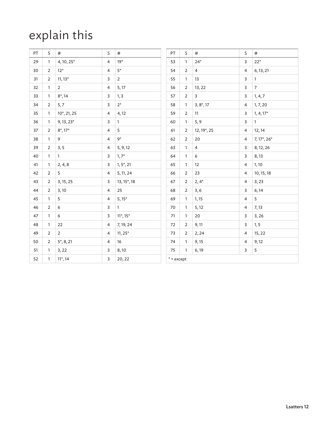### explain this

| PT | S              | $\#$                    | S              | $\#$            | PT                            | S              | $\#$           | S                       | $\#$            |
|----|----------------|-------------------------|----------------|-----------------|-------------------------------|----------------|----------------|-------------------------|-----------------|
| 29 | $\mathbf{1}$   | 4, 10, 25*              | $\overline{4}$ | $19*$           | 53                            | $\mathbf{1}$   | $24*$          | $\overline{\mathbf{3}}$ | $22*$           |
| 30 | $\overline{2}$ | $12*$                   | $\overline{4}$ | $5^\ast$        | 54                            | $\overline{2}$ | $\overline{4}$ | $\overline{4}$          | 6, 13, 21       |
| 31 | $\overline{2}$ | $11, 13*$               | 3              | $\overline{2}$  | 55                            | $\mathbf{1}$   | 13             | $\overline{\mathbf{3}}$ | $\mathbf{1}$    |
| 32 | $\mathbf{1}$   | $\overline{2}$          | $\overline{4}$ | 5, 17           | 56                            | $\overline{2}$ | 13, 22         | $\overline{\mathbf{3}}$ | $7\overline{ }$ |
| 33 | $\mathbf{1}$   | $8^*$ , 14              | 3              | 1, 3            | 57                            | $\overline{2}$ | 3              | $\overline{\mathbf{3}}$ | 1, 4, 7         |
| 34 | 2              | 5, 7                    | $\mathsf{3}$   | $2^*$           | 58                            | $\mathbf{1}$   | $3, 8^*$ , 17  | $\overline{4}$          | 1, 7, 20        |
| 35 | $\mathbf{1}$   | 10*, 21, 25             | $\overline{4}$ | 4,12            | 59                            | $\overline{2}$ | 11             | 3                       | $1, 4, 17*$     |
| 36 | $\mathbf{1}$   | $9, 13, 23*$            | 3              | $\mathbf{1}$    | 60                            | $\mathbf{1}$   | 5, 9           | $\overline{\mathbf{3}}$ | $\mathbf{1}$    |
| 37 | $\overline{2}$ | $8^*$ , 17 <sup>*</sup> | 4              | 5               | 61                            | $\overline{2}$ | 12, 19*, 25    | $\overline{4}$          | 12, 14          |
| 38 | $\mathbf{1}$   | 9                       | $\overline{4}$ | $9*$            | 62                            | $\overline{2}$ | 20             | $\overline{4}$          | 7, 17*, 26*     |
| 39 | 2              | 3, 5                    | 4              | 5, 9, 12        | 63                            | $\mathbf{1}$   | $\overline{4}$ | 3                       | 8, 12, 26       |
| 40 | $\mathbf{1}$   | $\mathbf{1}$            | 3              | $1, 7^*$        | 64                            | $\mathbf{1}$   | 6              | 3                       | 8,13            |
| 41 | $\mathbf{1}$   | 2, 4, 8                 | 3              | $1, 5^*, 21$    | 65                            | $\mathbf{1}$   | 12             | $\overline{4}$          | 1, 10           |
| 42 | 2              | 5                       | $\overline{4}$ | 5, 11, 24       | 66                            | 2              | 23             | $\overline{4}$          | 10, 15, 18      |
| 43 | $\overline{2}$ | 3, 15, 25               | 3              | 13, 15*, 18     | 67                            | $\overline{2}$ | $2,4*$         | 4                       | 3,23            |
| 44 | $\overline{2}$ | 3,10                    | 4              | 25              | 68                            | $\overline{2}$ | 3, 6           | 3                       | 6, 14           |
| 45 | $\mathbf{1}$   | 5                       | $\overline{4}$ | $5,15*$         | 69                            | $\mathbf{1}$   | 1, 15          | $\overline{4}$          | 5               |
| 46 | $\overline{2}$ | 6                       | 3              | $\mathbf{1}$    | 70                            | $\mathbf{1}$   | 5, 12          | $\overline{4}$          | 7, 13           |
| 47 | $\mathbf{1}$   | 6                       | 3              | $11^*$ , $15^*$ | 71                            | $\mathbf{1}$   | 20             | 3                       | 3, 26           |
| 48 | $\mathbf{1}$   | 22                      | $\overline{4}$ | 7, 19, 24       | 72                            | $\overline{2}$ | 9,11           | 3                       | 1, 5            |
| 49 | $\overline{2}$ | $\overline{2}$          | $\overline{4}$ | $11, 25*$       | 73                            | $\overline{2}$ | 2, 24          | $\overline{4}$          | 15, 22          |
| 50 | $\overline{2}$ | 5, 8, 21                | 4              | 16              | 74                            | $\mathbf{1}$   | 9,15           | 4                       | 9,12            |
| 51 | $\mathbf{1}$   | 3, 22                   | 3              | 8,10            | 75                            | $\mathbf{1}$   | 6,19           | 3                       | 5               |
| 52 | $\mathbf{1}$   | $11^*$ , 14             | 3              | 20, 22          | $^{\ast}$ = $\textsf{except}$ |                |                |                         |                 |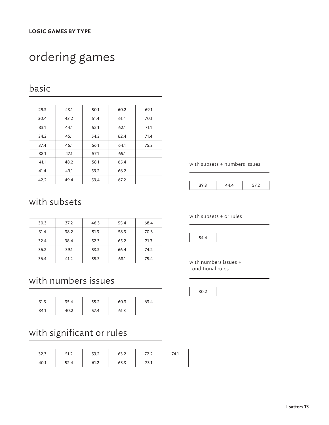### ordering games

#### basic

| 29.3 | 43.1 | 50.1 | 60.2 | 69.1 |
|------|------|------|------|------|
| 30.4 | 43.2 | 51.4 | 61.4 | 70.1 |
| 33.1 | 44.1 | 52.1 | 62.1 | 71.1 |
| 34.3 | 45.1 | 54.3 | 62.4 | 71.4 |
| 37.4 | 46.1 | 56.1 | 64.1 | 75.3 |
| 38.1 | 47.1 | 57.1 | 65.1 |      |
| 41.1 | 48.2 | 58.1 | 65.4 |      |
| 41.4 | 49.1 | 59.2 | 66.2 |      |
| 42.2 | 49.4 | 59.4 | 67.2 |      |

#### with subsets

| 30.3 | 37.2 | 46.3 | 55.4 | 68.4 |
|------|------|------|------|------|
| 31.4 | 38.2 | 51.3 | 58.3 | 70.3 |
| 32.4 | 38.4 | 52.3 | 65.2 | 71.3 |
| 36.2 | 39.1 | 53.3 | 66.4 | 74.2 |
| 36.4 | 41.2 | 55.3 | 68.1 | 75.4 |

#### with numbers issues

| 31.3 | 35.4 | 55.2 | 60.3 | 63.4 |
|------|------|------|------|------|
| 34.1 | 40.2 | 57.4 | 61.3 |      |

#### with significant or rules

| د.ءد | ے ، ا ب | ר כת<br>ے.ככ | ∠.כס | 1 L.L | 74.1 |
|------|---------|--------------|------|-------|------|
| 40.I | 52.4    | 61.2         | 63.3 | 73.1  |      |

with subsets + numbers issues

with subsets + or rules

54.4

with numbers issues + conditional rules

30.2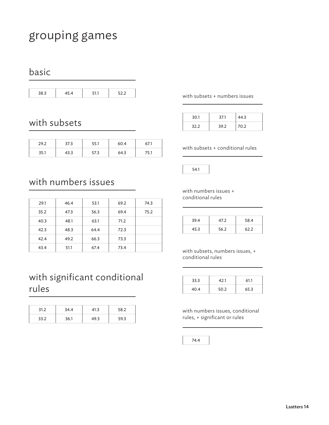### grouping games

#### basic

| 38.3 | 45.4 | 51.1 | 52.2 |
|------|------|------|------|
|      |      |      |      |

#### with subsets

| 29.2 | 37.3 | ו.ככ | 60.4 | 07.I |
|------|------|------|------|------|
| 35.1 | 43.3 | 57.3 | 64.3 | 75.1 |

#### with subsets + numbers issues

| 30.1 | 37.1 | 44.3 |
|------|------|------|
| 32.2 | 39.2 | 70.2 |

with subsets + conditional rules

54.1

#### with numbers issues

| 29.1 | 46.4 | 53.1 | 69.2 | 74.3 |
|------|------|------|------|------|
| 35.2 | 47.3 | 56.3 | 69.4 | 75.2 |
| 40.3 | 48.1 | 63.1 | 71.2 |      |
| 42.3 | 48.3 | 64.4 | 72.3 |      |
| 42.4 | 49.2 | 66.3 | 73.3 |      |
| 43.4 | 51.1 | 67.4 | 73.4 |      |

#### with significant conditional rules

| 31.2 | 34.4 | 41.3 | 58.2 |
|------|------|------|------|
| 33.2 | 36.1 | 49.3 | 59.3 |

with numbers issues + conditional rules

| 39.4 | 47.2 | 58.4 |
|------|------|------|
| 45.3 | 56.2 | 62.2 |

with subsets, numbers issues, + conditional rules

| 33.3 | 42.1 | 61.1 |
|------|------|------|
| 40.4 | 50.2 | 65.3 |

with numbers issues, conditional rules, + significant or rules

74.4